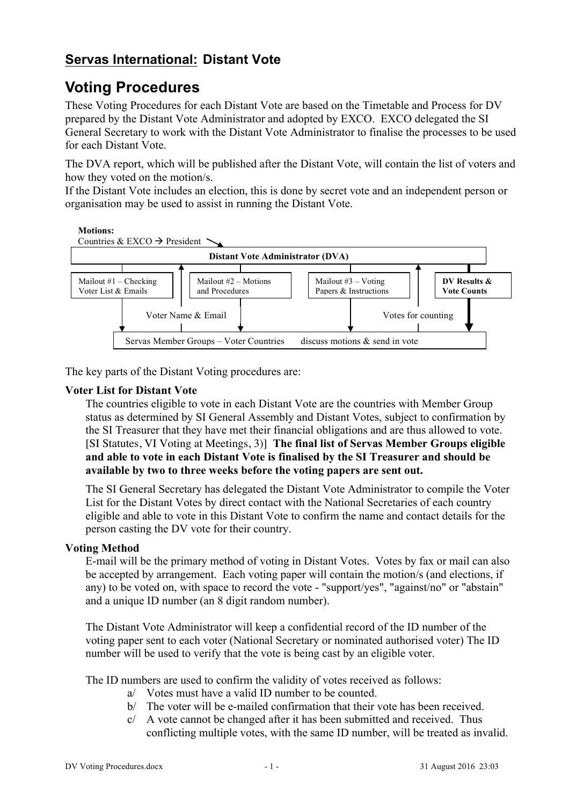## **Servas International: Distant Vote**

# **Voting Procedures**

These Voting Procedures for each Distant Vote are based on the Timetable and Process for DV prepared by the Distant Vote Administrator and adopted by EXCO. EXCO delegated the SI General Secretary to work with the Distant Vote Administrator to finalise the processes to be used for each Distant Vote.

The DVA report, which will be published after the Distant Vote, will contain the list of voters and how they voted on the motion/s.

If the Distant Vote includes an election, this is done by secret vote and an independent person or organisation may be used to assist in running the Distant Vote.



The key parts of the Distant Voting procedures are:

#### **Voter List for Distant Vote**

The countries eligible to vote in each Distant Vote are the countries with Member Group status as determined by SI General Assembly and Distant Votes, subject to confirmation by  $\frac{1}{2}$ the SI Treasurer that they have met their financial obligations and are thus allowed to vote. [SI Statutes, VI Voting at Meetings, 3)] **The final list of Servas Member Groups eligible**  and able to vote in each Distant Vote is finalised by the SI Treasurer and should be available by two to three weeks before the voting papers are sent out. and able to vote in  $M_{\rm{2}} = 2.1$ istant vote mailout #3 – Votarius + Votarius + Votarius + Votarius + Votarius + Votarius + Vo<br>United + Votarius + Votarius + Votarius + Votarius + Votarius + Votarius + Votarius + Votarius + Votarius + Vo dy the 51-1 **DV Resultation SHOUIG** L

The SI General Secretary has delegated the Distant Vote Administrator to compile the Voter List for the Distant Votes by direct contact with the National Secretaries of each country eligible and able to vote in this Distant Vote to confirm the name and contact details for the person casting the DV vote for their country.

#### **Voting Method**

E-mail will be the primary method of voting in Distant Votes. Votes by fax or mail can also be accepted by arrangement. Each voting paper will contain the motion/s (and elections, if any) to be voted on, with space to record the vote - "support/yes", "against/no" or "abstain" and a unique ID number (an 8 digit random number).

The Distant Vote Administrator will keep a confidential record of the ID number of the voting paper sent to each voter (National Secretary or nominated authorised voter) The ID number will be used to verify that the vote is being cast by an eligible voter.

The ID numbers are used to confirm the validity of votes received as follows:

- a/ Votes must have a valid ID number to be counted.
- b/ The voter will be e-mailed confirmation that their vote has been received.
- $c$  A vote cannot be changed after it has been submitted and received. Thus conflicting multiple votes, with the same ID number, will be treated as invalid.